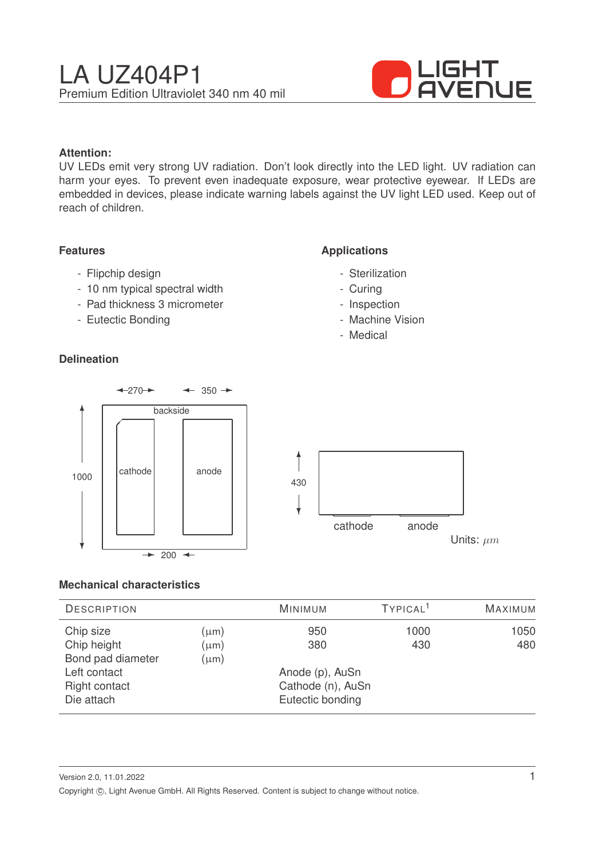

## **Attention:**

UV LEDs emit very strong UV radiation. Don't look directly into the LED light. UV radiation can harm your eyes. To prevent even inadequate exposure, wear protective eyewear. If LEDs are embedded in devices, please indicate warning labels against the UV light LED used. Keep out of reach of children.

### **Features**

- Flipchip design
- 10 nm typical spectral width
- Pad thickness 3 micrometer
- Eutectic Bonding

## **Delineation**

## **Applications**

- Sterilization
- Curing
- Inspection
- Machine Vision
- Medical



### **Mechanical characteristics**

| <b>DESCRIPTION</b> |           | <b>MINIMUM</b>    | TYPICAL <sup>1</sup> | <b>MAXIMUM</b> |
|--------------------|-----------|-------------------|----------------------|----------------|
| Chip size          | $(\mu m)$ | 950               | 1000                 | 1050           |
| Chip height        | $(\mu m)$ | 380               | 430                  | 480            |
| Bond pad diameter  | $(\mu m)$ |                   |                      |                |
| Left contact       |           | Anode (p), AuSn   |                      |                |
| Right contact      |           | Cathode (n), AuSn |                      |                |
| Die attach         |           | Eutectic bonding  |                      |                |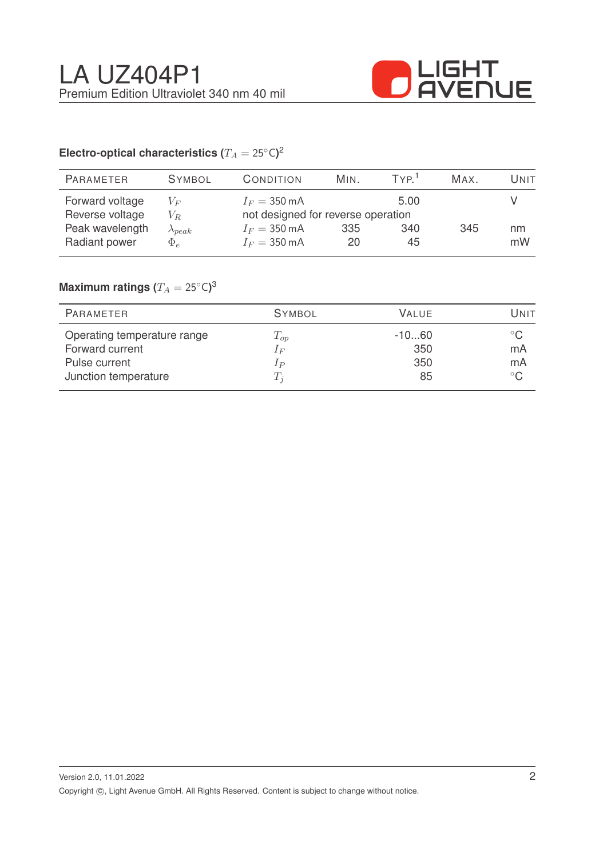

# Electro-optical characteristics ( $T_A = 25^{\circ} \text{C}$ )<sup>2</sup>

| <b>PARAMETER</b> | <b>SYMBOL</b>    | CONDITION              | MIN.                               | TYP <sup>1</sup> | MAX. | Unit |
|------------------|------------------|------------------------|------------------------------------|------------------|------|------|
| Forward voltage  | $V_F$            | $I_F = 350 \text{ mA}$ |                                    | 5.00             |      |      |
| Reverse voltage  | $V_R$            |                        | not designed for reverse operation |                  |      |      |
| Peak wavelength  | $\lambda_{peak}$ | $I_F = 350 \text{ mA}$ | 335                                | 340              | 345  | nm   |
| Radiant power    | $\Phi_e$         | $I_F = 350 \text{ mA}$ | 20                                 | 45               |      | mW   |
|                  |                  |                        |                                    |                  |      |      |

## $\mathsf{Maximum}$  ratings  $(T_A = 25^{\circ} \mathsf{C})^3$

| PARAMETER                   | <b>SYMBOL</b> | VALUE   | Unit         |
|-----------------------------|---------------|---------|--------------|
| Operating temperature range | $T_{op}$      | $-1060$ | $^{\circ}$ C |
| Forward current             | $1_F$         | 350     | mA           |
| Pulse current               | $_{IP}$       | 350     | mA           |
| Junction temperature        | $T_i$         | 85      | $^{\circ}$ C |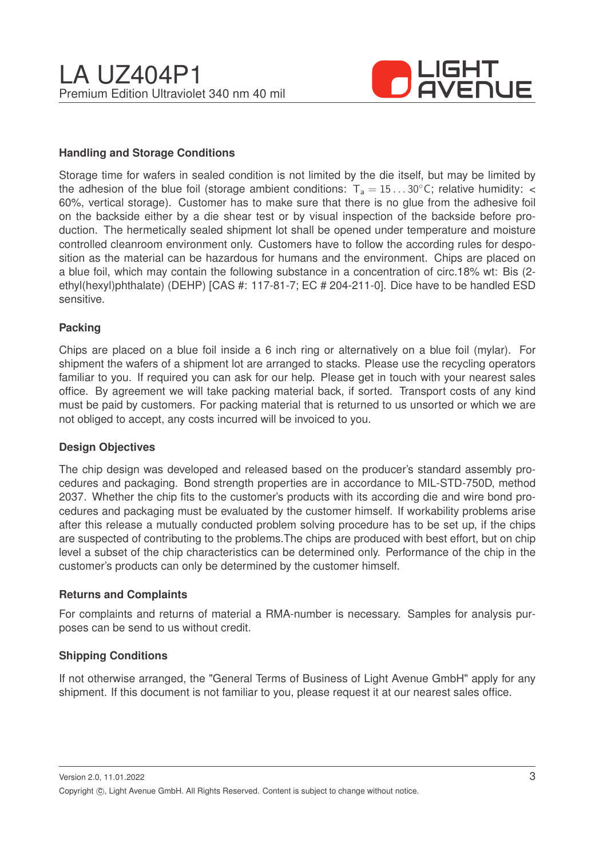

## **Handling and Storage Conditions**

Storage time for wafers in sealed condition is not limited by the die itself, but may be limited by the adhesion of the blue foil (storage ambient conditions:  $T_a = 15...30^{\circ}$ C; relative humidity: < 60%, vertical storage). Customer has to make sure that there is no glue from the adhesive foil on the backside either by a die shear test or by visual inspection of the backside before production. The hermetically sealed shipment lot shall be opened under temperature and moisture controlled cleanroom environment only. Customers have to follow the according rules for desposition as the material can be hazardous for humans and the environment. Chips are placed on a blue foil, which may contain the following substance in a concentration of circ.18% wt: Bis (2 ethyl(hexyl)phthalate) (DEHP) [CAS #: 117-81-7; EC # 204-211-0]. Dice have to be handled ESD sensitive.

#### **Packing**

Chips are placed on a blue foil inside a 6 inch ring or alternatively on a blue foil (mylar). For shipment the wafers of a shipment lot are arranged to stacks. Please use the recycling operators familiar to you. If required you can ask for our help. Please get in touch with your nearest sales office. By agreement we will take packing material back, if sorted. Transport costs of any kind must be paid by customers. For packing material that is returned to us unsorted or which we are not obliged to accept, any costs incurred will be invoiced to you.

### **Design Objectives**

The chip design was developed and released based on the producer's standard assembly procedures and packaging. Bond strength properties are in accordance to MIL-STD-750D, method 2037. Whether the chip fits to the customer's products with its according die and wire bond procedures and packaging must be evaluated by the customer himself. If workability problems arise after this release a mutually conducted problem solving procedure has to be set up, if the chips are suspected of contributing to the problems.The chips are produced with best effort, but on chip level a subset of the chip characteristics can be determined only. Performance of the chip in the customer's products can only be determined by the customer himself.

#### **Returns and Complaints**

For complaints and returns of material a RMA-number is necessary. Samples for analysis purposes can be send to us without credit.

### **Shipping Conditions**

If not otherwise arranged, the "General Terms of Business of Light Avenue GmbH" apply for any shipment. If this document is not familiar to you, please request it at our nearest sales office.

Version 2.0, 11.01.2022 Copyright ©, Light Avenue GmbH. All Rights Reserved. Content is subject to change without notice.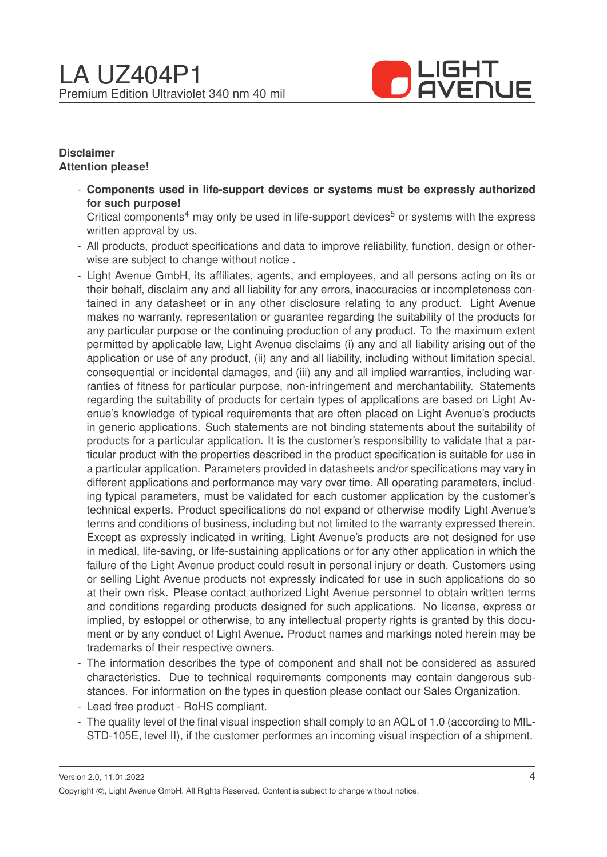

## **Disclaimer Attention please!**

- **Components used in life-support devices or systems must be expressly authorized for such purpose!**

Critical components<sup>4</sup> may only be used in life-support devices<sup>5</sup> or systems with the express written approval by us.

- All products, product specifications and data to improve reliability, function, design or otherwise are subject to change without notice .
- Light Avenue GmbH, its affiliates, agents, and employees, and all persons acting on its or their behalf, disclaim any and all liability for any errors, inaccuracies or incompleteness contained in any datasheet or in any other disclosure relating to any product. Light Avenue makes no warranty, representation or guarantee regarding the suitability of the products for any particular purpose or the continuing production of any product. To the maximum extent permitted by applicable law, Light Avenue disclaims (i) any and all liability arising out of the application or use of any product, (ii) any and all liability, including without limitation special, consequential or incidental damages, and (iii) any and all implied warranties, including warranties of fitness for particular purpose, non-infringement and merchantability. Statements regarding the suitability of products for certain types of applications are based on Light Avenue's knowledge of typical requirements that are often placed on Light Avenue's products in generic applications. Such statements are not binding statements about the suitability of products for a particular application. It is the customer's responsibility to validate that a particular product with the properties described in the product specification is suitable for use in a particular application. Parameters provided in datasheets and/or specifications may vary in different applications and performance may vary over time. All operating parameters, including typical parameters, must be validated for each customer application by the customer's technical experts. Product specifications do not expand or otherwise modify Light Avenue's terms and conditions of business, including but not limited to the warranty expressed therein. Except as expressly indicated in writing, Light Avenue's products are not designed for use in medical, life-saving, or life-sustaining applications or for any other application in which the failure of the Light Avenue product could result in personal injury or death. Customers using or selling Light Avenue products not expressly indicated for use in such applications do so at their own risk. Please contact authorized Light Avenue personnel to obtain written terms and conditions regarding products designed for such applications. No license, express or implied, by estoppel or otherwise, to any intellectual property rights is granted by this document or by any conduct of Light Avenue. Product names and markings noted herein may be trademarks of their respective owners.
- The information describes the type of component and shall not be considered as assured characteristics. Due to technical requirements components may contain dangerous substances. For information on the types in question please contact our Sales Organization.
- Lead free product RoHS compliant.
- The quality level of the final visual inspection shall comply to an AQL of 1.0 (according to MIL-STD-105E, level II), if the customer performes an incoming visual inspection of a shipment.